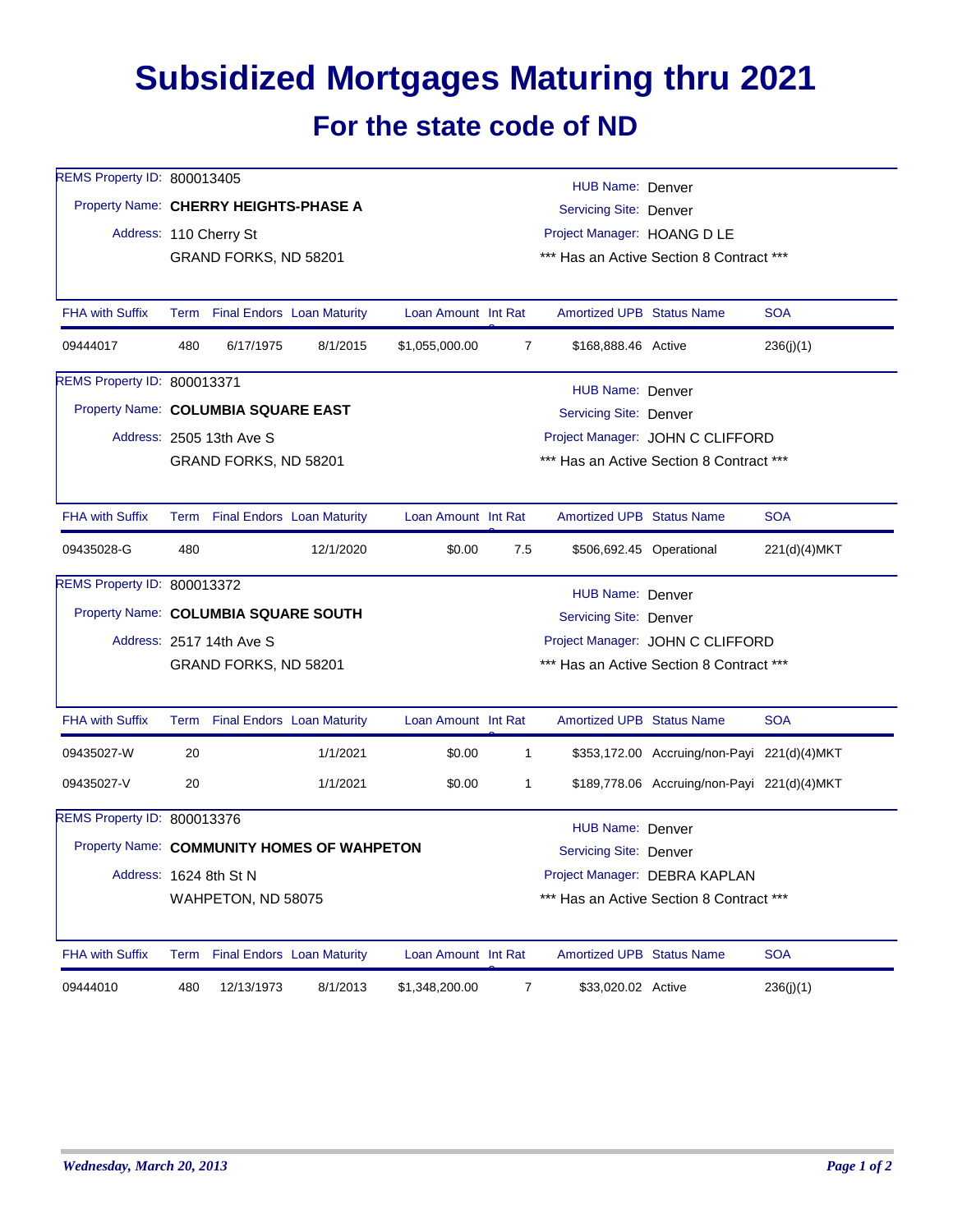## **Subsidized Mortgages Maturing thru 2021 For the state code of ND**

| REMS Property ID: 800013405           |                                                                   |                                 |                                            |                                          |                                          | <b>HUB Name: Denver</b>          |                                             |              |  |  |
|---------------------------------------|-------------------------------------------------------------------|---------------------------------|--------------------------------------------|------------------------------------------|------------------------------------------|----------------------------------|---------------------------------------------|--------------|--|--|
| Property Name: CHERRY HEIGHTS-PHASE A |                                                                   |                                 |                                            | <b>Servicing Site: Denver</b>            |                                          |                                  |                                             |              |  |  |
|                                       |                                                                   | Address: 110 Cherry St          |                                            |                                          | Project Manager: HOANG D LE              |                                  |                                             |              |  |  |
|                                       | *** Has an Active Section 8 Contract ***<br>GRAND FORKS, ND 58201 |                                 |                                            |                                          |                                          |                                  |                                             |              |  |  |
| <b>FHA with Suffix</b>                |                                                                   | Term Final Endors Loan Maturity |                                            | Loan Amount Int Rat                      |                                          | <b>Amortized UPB Status Name</b> |                                             | <b>SOA</b>   |  |  |
| 09444017                              | 480                                                               | 6/17/1975                       | 8/1/2015                                   | \$1,055,000.00                           | 7                                        | \$168,888.46 Active              |                                             | 236(j)(1)    |  |  |
| REMS Property ID: 800013371           |                                                                   |                                 |                                            |                                          |                                          | HUB Name: Denver                 |                                             |              |  |  |
|                                       | Property Name: COLUMBIA SQUARE EAST<br>Servicing Site: Denver     |                                 |                                            |                                          |                                          |                                  |                                             |              |  |  |
|                                       |                                                                   | Address: 2505 13th Ave S        |                                            |                                          |                                          |                                  | Project Manager: JOHN C CLIFFORD            |              |  |  |
|                                       |                                                                   | GRAND FORKS, ND 58201           |                                            |                                          |                                          |                                  | *** Has an Active Section 8 Contract ***    |              |  |  |
| <b>FHA with Suffix</b>                |                                                                   | Term Final Endors Loan Maturity |                                            | Loan Amount Int Rat                      |                                          | <b>Amortized UPB Status Name</b> |                                             | <b>SOA</b>   |  |  |
| 09435028-G                            | 480                                                               |                                 | 12/1/2020                                  | \$0.00                                   | 7.5                                      |                                  | \$506,692.45 Operational                    | 221(d)(4)MKT |  |  |
| REMS Property ID: 800013372           |                                                                   |                                 |                                            |                                          |                                          | <b>HUB Name: Denver</b>          |                                             |              |  |  |
|                                       | Property Name: COLUMBIA SQUARE SOUTH<br>Servicing Site: Denver    |                                 |                                            |                                          |                                          |                                  |                                             |              |  |  |
|                                       |                                                                   | Address: 2517 14th Ave S        |                                            |                                          |                                          | Project Manager: JOHN C CLIFFORD |                                             |              |  |  |
|                                       |                                                                   | GRAND FORKS, ND 58201           |                                            | *** Has an Active Section 8 Contract *** |                                          |                                  |                                             |              |  |  |
| <b>FHA with Suffix</b>                |                                                                   | Term Final Endors Loan Maturity |                                            | Loan Amount Int Rat                      |                                          | <b>Amortized UPB Status Name</b> |                                             | <b>SOA</b>   |  |  |
| 09435027-W                            | 20                                                                |                                 | 1/1/2021                                   | \$0.00                                   | $\mathbf{1}$                             |                                  | \$353,172.00 Accruing/non-Payi 221(d)(4)MKT |              |  |  |
| 09435027-V                            | 20                                                                |                                 | 1/1/2021                                   | \$0.00                                   | 1                                        |                                  | \$189,778.06 Accruing/non-Payi 221(d)(4)MKT |              |  |  |
| REMS Property ID: 800013376           |                                                                   |                                 |                                            |                                          |                                          | HUB Name: Denver                 |                                             |              |  |  |
|                                       |                                                                   |                                 | Property Name: COMMUNITY HOMES OF WAHPETON |                                          | Servicing Site: Denver                   |                                  |                                             |              |  |  |
|                                       |                                                                   | Address: 1624 8th St N          |                                            |                                          | Project Manager: DEBRA KAPLAN            |                                  |                                             |              |  |  |
|                                       |                                                                   | WAHPETON, ND 58075              |                                            |                                          | *** Has an Active Section 8 Contract *** |                                  |                                             |              |  |  |
| <b>FHA with Suffix</b>                |                                                                   | Term Final Endors Loan Maturity |                                            | Loan Amount Int Rat                      |                                          | <b>Amortized UPB Status Name</b> |                                             | <b>SOA</b>   |  |  |
| 09444010                              | 480                                                               | 12/13/1973                      | 8/1/2013                                   | \$1,348,200.00                           | $\overline{7}$                           | \$33,020.02 Active               |                                             | 236(j)(1)    |  |  |